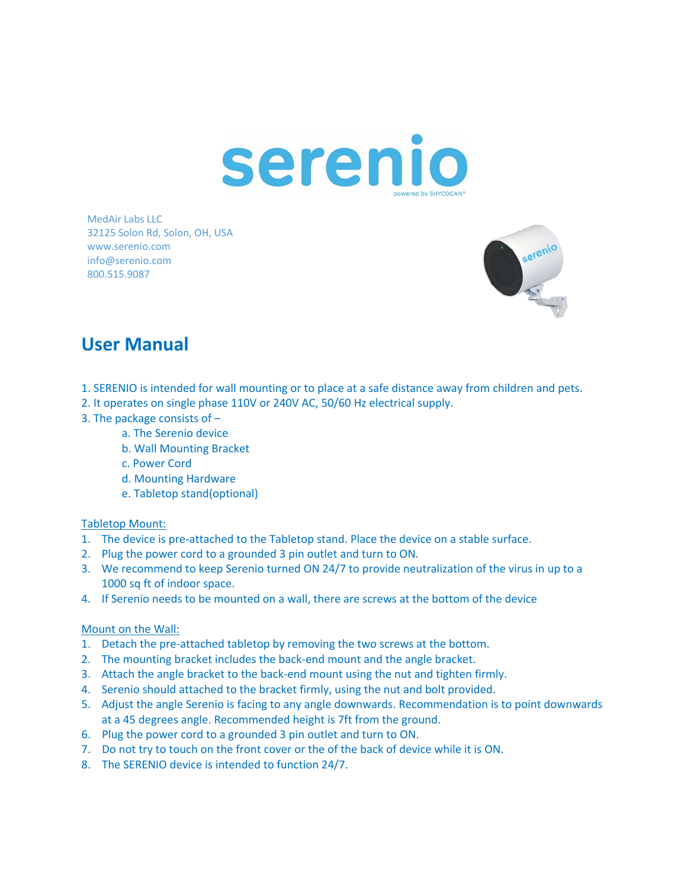

MedAir Labs LLC 32125 Solon Rd, Solon, OH, USA www.serenio.com info@serenio.com 800.515.9087



## **User Manual**

- 1. SERENIO is intended for wall mounting or to place at a safe distance away from children and pets.
- 2. It operates on single phase 110V or 240V AC, 50/60 Hz electrical supply.
- 3. The package consists of
	- a. The Serenio device
	- b. Wall Mounting Bracket
	- c. Power Cord
	- d. Mounting Hardware
	- e. Tabletop stand(optional)

## Tabletop Mount:

- 1. The device is pre-attached to the Tabletop stand. Place the device on a stable surface.
- 2. Plug the power cord to a grounded 3 pin outlet and turn to ON.
- 3. We recommend to keep Serenio turned ON 24/7 to provide neutralization of the virus in up to a 1000 sq ft of indoor space.
- 4. If Serenio needs to be mounted on a wall, there are screws at the bottom of the device

## Mount on the Wall:

- 1. Detach the pre-attached tabletop by removing the two screws at the bottom.
- 2. The mounting bracket includes the back-end mount and the angle bracket.
- 3. Attach the angle bracket to the back-end mount using the nut and tighten firmly.
- 4. Serenio should attached to the bracket firmly, using the nut and bolt provided.
- 5. Adjust the angle Serenio is facing to any angle downwards. Recommendation is to point downwards at a 45 degrees angle. Recommended height is 7ft from the ground.
- 6. Plug the power cord to a grounded 3 pin outlet and turn to ON.
- 7. Do not try to touch on the front cover or the of the back of device while it is ON.
- 8. The SERENIO device is intended to function 24/7.